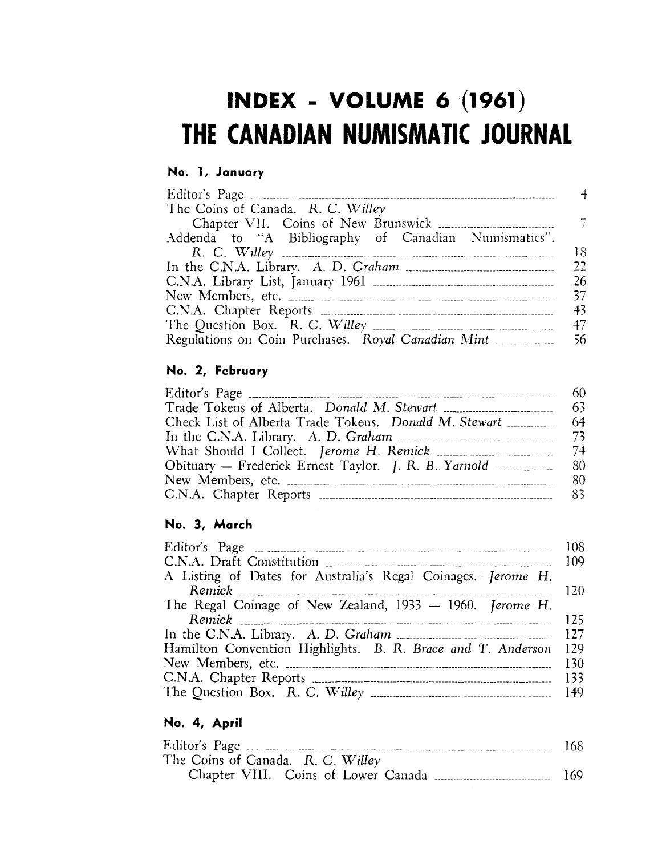# **INDEX - VOLUME 6 (1961) THE CANADIAN NUMISMATIC JOURNAL**

### **No.1, January**

| The Coins of Canada. R. C. Willey                    |
|------------------------------------------------------|
|                                                      |
| Addenda to "A Bibliography of Canadian Numismatics". |
| 18                                                   |
| 22<br>In the C.N.A. Library. A. D. Graham            |
| -26                                                  |
| 37                                                   |
| 43                                                   |
| 47                                                   |
|                                                      |

## **No.2, February**

| 60  |
|-----|
| 63  |
| 64  |
|     |
| -74 |
| 80  |
| 80  |
|     |

### **No.3, March**

| A Listing of Dates for Australia's Regal Coinages. Jerome H. |                |
|--------------------------------------------------------------|----------------|
|                                                              | <b>120</b>     |
| The Regal Coinage of New Zealand, 1933 - 1960. Jerome H.     |                |
|                                                              | 125            |
|                                                              |                |
| Hamilton Convention Highlights. B. R. Brace and T. Anderson  | 129            |
|                                                              | <b>130</b>     |
|                                                              | <sup>133</sup> |
|                                                              |                |

### **No.4, April**

| Editor's Page                       | 168 |
|-------------------------------------|-----|
| The Coins of Canada. R. C. Willey   |     |
| Chapter VIII. Coins of Lower Canada | 169 |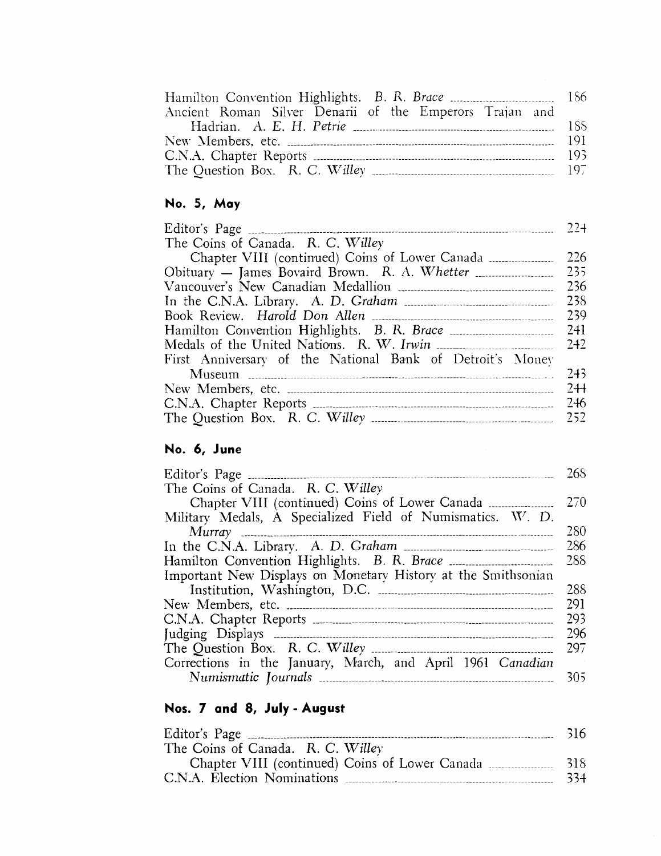| Ancient Roman Silver Denarii of the Emperors Trajan and                                                                                             |  |
|-----------------------------------------------------------------------------------------------------------------------------------------------------|--|
|                                                                                                                                                     |  |
|                                                                                                                                                     |  |
|                                                                                                                                                     |  |
| The Question Box. R. C. Willey $\ldots$ $\ldots$ $\ldots$ $\ldots$ $\ldots$ $\ldots$ $\ldots$ $\ldots$ $\ldots$ $\ldots$ $\ldots$ $\ldots$ $\ldots$ |  |

# **No.5, May**

| The Coins of Canada. R. C. Willey                         |      |
|-----------------------------------------------------------|------|
|                                                           | 226  |
|                                                           | 235  |
|                                                           | 236  |
|                                                           | 238  |
|                                                           | -239 |
|                                                           | 241  |
|                                                           | 242  |
| First Anniversary of the National Bank of Detroit's Money |      |
|                                                           | 243  |
|                                                           | $2+$ |
|                                                           | 246  |
|                                                           |      |

### **No.6, June**

|                                                               | 268 |
|---------------------------------------------------------------|-----|
| The Coins of Canada. R. C. Willey                             |     |
|                                                               | 270 |
| Military Medals, A Specialized Field of Numismatics. W. D.    |     |
|                                                               | 280 |
|                                                               | 286 |
|                                                               | 288 |
| Important New Displays on Monetary History at the Smithsonian |     |
|                                                               | 288 |
|                                                               | 291 |
|                                                               | 293 |
|                                                               | 296 |
|                                                               | 297 |
| Corrections in the January, March, and April 1961 Canadian    |     |
|                                                               | 305 |
|                                                               |     |

## **Nos. 7 and 8, July - August**

|                                                | 316 |
|------------------------------------------------|-----|
| The Coins of Canada. R. C. Willey              |     |
| Chapter VIII (continued) Coins of Lower Canada | 318 |
|                                                | 334 |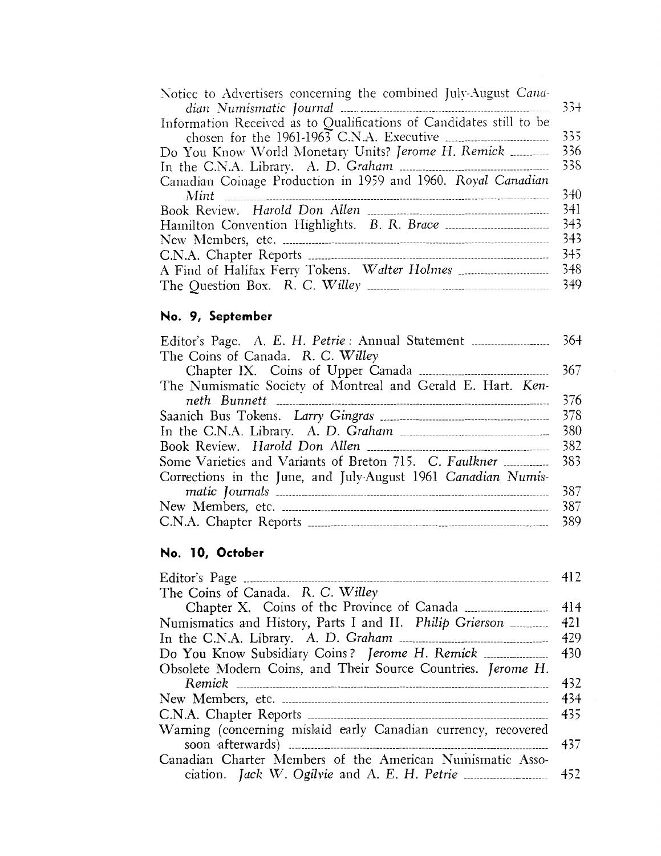| Notice to Advertisers concerning the combined July-August Cana-     |        |
|---------------------------------------------------------------------|--------|
|                                                                     | $33 +$ |
| Information Received as to Qualifications of Candidates still to be |        |
| chosen for the $1961-1963$ C.N.A. Executive                         | 335    |
|                                                                     | 336    |
|                                                                     | 338    |
| Canadian Coinage Production in 1959 and 1960. Royal Canadian        |        |
|                                                                     | 340    |
|                                                                     | 341    |
|                                                                     | 343    |
|                                                                     | 343    |
|                                                                     | 345    |
|                                                                     | 348    |
|                                                                     | 349    |

### **No.9, September**

|                                                               | 364 |
|---------------------------------------------------------------|-----|
| The Coins of Canada. R. C. Willey                             |     |
|                                                               | 367 |
| The Numismatic Society of Montreal and Gerald E. Hart. Ken-   |     |
|                                                               | 376 |
|                                                               | 378 |
| In the C.N.A. Library. A. D. Graham                           | 380 |
|                                                               | 382 |
|                                                               | 383 |
| Corrections in the June, and July-August 1961 Canadian Numis- | 387 |
|                                                               | 387 |
|                                                               |     |
|                                                               | 389 |

### **No. 10, October**

| The Coins of Canada. R. C. Willey                              |        |
|----------------------------------------------------------------|--------|
|                                                                | $-414$ |
| Numismatics and History, Parts I and II. Philip Grierson       | 421    |
|                                                                | 429    |
| Do You Know Subsidiary Coins? Jerome H. Remick                 | 430    |
| Obsolete Modern Coins, and Their Source Countries. Jerome H.   |        |
|                                                                | 432    |
|                                                                | 434    |
|                                                                | -435   |
| Warning (concerning mislaid early Canadian currency, recovered | 437    |
| Canadian Charter Members of the American Numismatic Asso-      |        |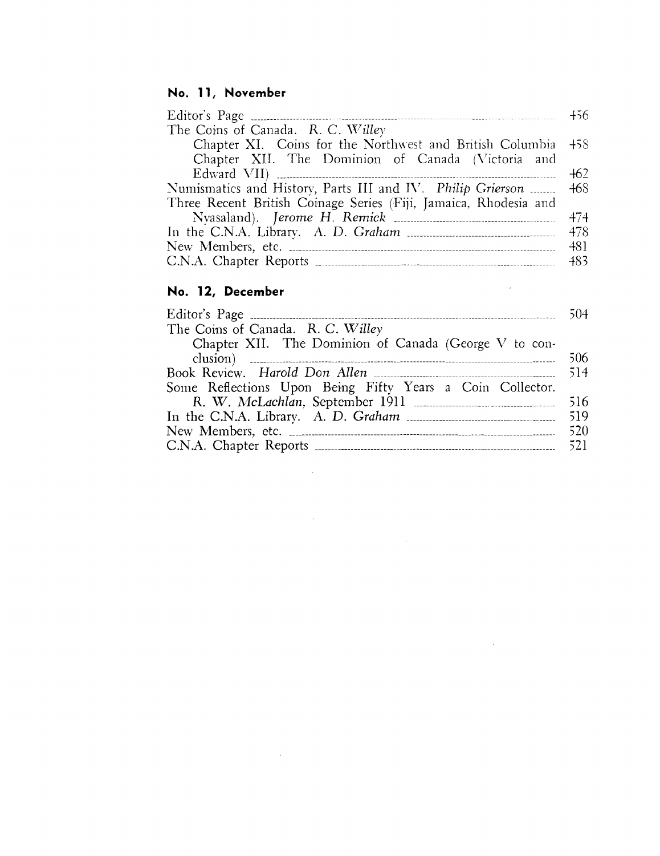### **No. 11** *<sup>t</sup>* **November**

| The Coins of Canada. R. C. Willey                                |       |
|------------------------------------------------------------------|-------|
| Chapter XI. Coins for the Northwest and British Columbia 458     |       |
| Chapter XII. The Dominion of Canada (Victoria and                |       |
|                                                                  | $+62$ |
| Numismatics and History, Parts III and IV. Philip Grierson  468  |       |
| Three Recent British Coinage Series (Fiji, Jamaica, Rhodesia and |       |
|                                                                  |       |
|                                                                  |       |
|                                                                  |       |
|                                                                  |       |
|                                                                  |       |

### **No. 12, December**

| The Coins of Canada. R. C. Willey                                                                                                                                                                                                                                                                                   |     |
|---------------------------------------------------------------------------------------------------------------------------------------------------------------------------------------------------------------------------------------------------------------------------------------------------------------------|-----|
| Chapter XII. The Dominion of Canada (George V to con-                                                                                                                                                                                                                                                               |     |
| $\frac{1}{2}$ $\frac{1}{2}$ $\frac{1}{2}$ $\frac{1}{2}$ $\frac{1}{2}$ $\frac{1}{2}$ $\frac{1}{2}$ $\frac{1}{2}$ $\frac{1}{2}$ $\frac{1}{2}$ $\frac{1}{2}$ $\frac{1}{2}$ $\frac{1}{2}$ $\frac{1}{2}$ $\frac{1}{2}$ $\frac{1}{2}$ $\frac{1}{2}$ $\frac{1}{2}$ $\frac{1}{2}$ $\frac{1}{2}$ $\frac{1}{2}$ $\frac{1}{2}$ | 506 |
|                                                                                                                                                                                                                                                                                                                     |     |
| Some Reflections Upon Being Fifty Years a Coin Collector.                                                                                                                                                                                                                                                           |     |
|                                                                                                                                                                                                                                                                                                                     |     |
|                                                                                                                                                                                                                                                                                                                     |     |
|                                                                                                                                                                                                                                                                                                                     |     |
|                                                                                                                                                                                                                                                                                                                     |     |

 $\label{eq:2.1} \frac{1}{2} \int_{\mathbb{R}^3} \frac{1}{\sqrt{2}} \, \frac{1}{\sqrt{2}} \, \frac{1}{\sqrt{2}} \, \frac{1}{\sqrt{2}} \, \frac{1}{\sqrt{2}} \, \frac{1}{\sqrt{2}} \, \frac{1}{\sqrt{2}} \, \frac{1}{\sqrt{2}} \, \frac{1}{\sqrt{2}} \, \frac{1}{\sqrt{2}} \, \frac{1}{\sqrt{2}} \, \frac{1}{\sqrt{2}} \, \frac{1}{\sqrt{2}} \, \frac{1}{\sqrt{2}} \, \frac{1}{\sqrt{2}} \, \frac{1}{\sqrt{2}} \,$ 

 $\mathcal{L}^{\mathcal{L}}(\mathcal{L}^{\mathcal{L}})$  and  $\mathcal{L}^{\mathcal{L}}(\mathcal{L}^{\mathcal{L}})$  and  $\mathcal{L}^{\mathcal{L}}(\mathcal{L}^{\mathcal{L}})$ 

 $\mathcal{L}^{\text{max}}_{\text{max}}$  and  $\mathcal{L}^{\text{max}}_{\text{max}}$ 

 $\label{eq:2.1} \mathcal{L}(\mathcal{L}^{\text{max}}_{\text{max}}(\mathcal{L}^{\text{max}}_{\text{max}}))$ 

 $\mathcal{L}^{\text{max}}_{\text{max}}$  and  $\mathcal{L}^{\text{max}}_{\text{max}}$ 

 $\label{eq:2.1} \frac{1}{\sqrt{2}}\int_{\mathbb{R}^3}\frac{1}{\sqrt{2}}\left(\frac{1}{\sqrt{2}}\right)^2\frac{1}{\sqrt{2}}\left(\frac{1}{\sqrt{2}}\right)^2\frac{1}{\sqrt{2}}\left(\frac{1}{\sqrt{2}}\right)^2\frac{1}{\sqrt{2}}\left(\frac{1}{\sqrt{2}}\right)^2.$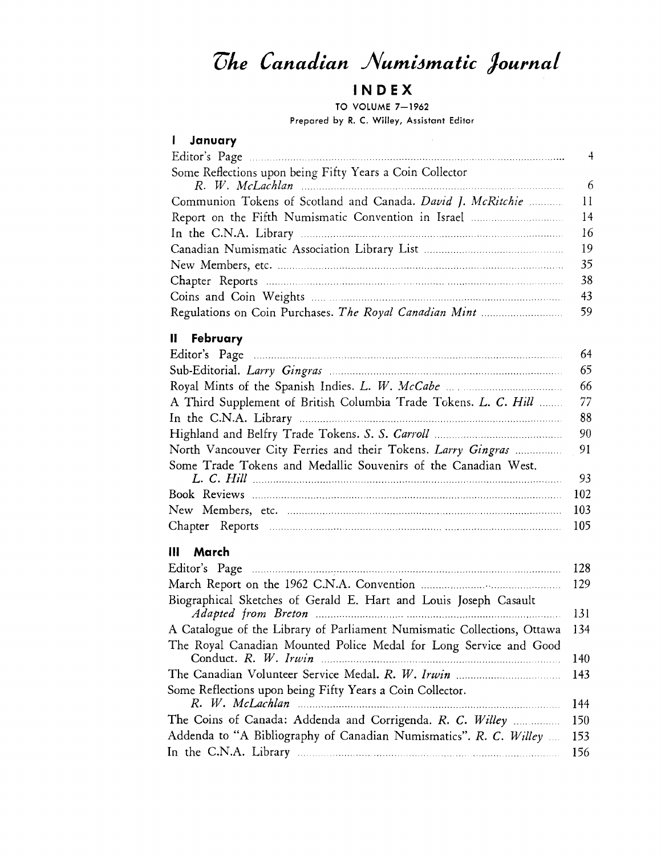# $The$  *Canadian Numismatic Journal*

### IN **D EX**

TO VOLUME 7-1962 Prepared by R. C. Willey, Assistant Editor

| <i>i</i> January                                         |    |
|----------------------------------------------------------|----|
|                                                          | 4  |
| Some Reflections upon being Fifty Years a Coin Collector |    |
|                                                          | -6 |
|                                                          | 11 |
|                                                          | 14 |
|                                                          | 16 |
|                                                          | 19 |
|                                                          | 35 |
|                                                          | 38 |
|                                                          | 43 |
|                                                          | 59 |

### **II February**

| 64                                                                  |
|---------------------------------------------------------------------|
| 65                                                                  |
| 66                                                                  |
| A Third Supplement of British Columbia Trade Tokens. L. C. Hill  77 |
| 88                                                                  |
| -90                                                                 |
|                                                                     |
|                                                                     |
| 93                                                                  |
| 102                                                                 |
| 103                                                                 |
|                                                                     |
|                                                                     |

### **III** March

|                                                                         | 128 |
|-------------------------------------------------------------------------|-----|
|                                                                         | 129 |
| Biographical Sketches of Gerald E. Hart and Louis Joseph Casault        | 131 |
| A Catalogue of the Library of Parliament Numismatic Collections, Ottawa | 134 |
| The Royal Canadian Mounted Police Medal for Long Service and Good       | 140 |
|                                                                         | 143 |
| Some Reflections upon being Fifty Years a Coin Collector.               |     |
|                                                                         | 144 |
| The Coins of Canada: Addenda and Corrigenda. R. C. Willey               | 150 |
| Addenda to "A Bibliography of Canadian Numismatics". R. C. Willey       | 153 |
|                                                                         | 156 |
|                                                                         |     |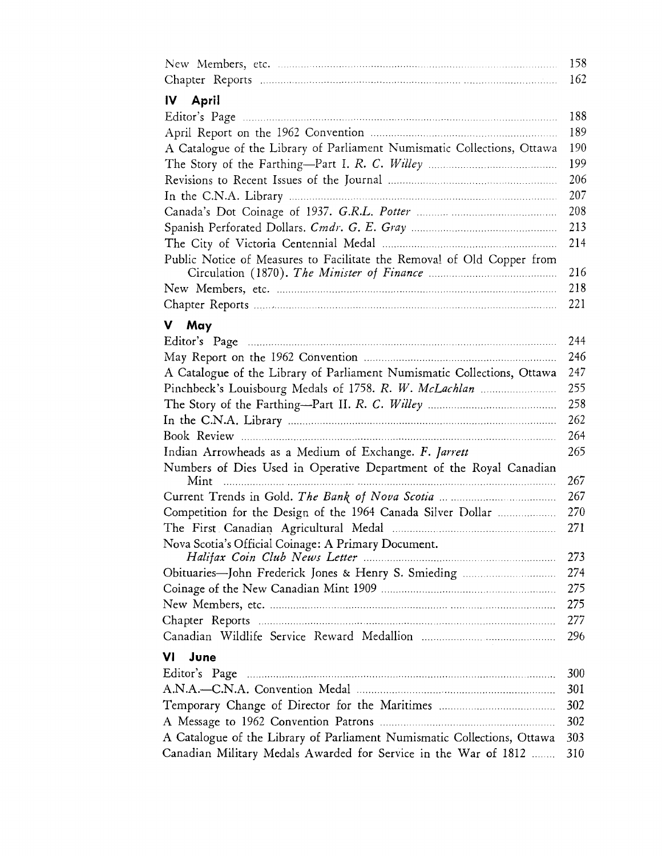|                                                                            | 158 |
|----------------------------------------------------------------------------|-----|
|                                                                            | 162 |
| IV April                                                                   |     |
|                                                                            | 188 |
|                                                                            | 189 |
| A Catalogue of the Library of Parliament Numismatic Collections, Ottawa    | 190 |
|                                                                            | 199 |
|                                                                            | 206 |
|                                                                            | 207 |
|                                                                            | 208 |
|                                                                            | 213 |
|                                                                            | 214 |
| Public Notice of Measures to Facilitate the Removal of Old Copper from     | 216 |
|                                                                            | 218 |
|                                                                            | 221 |
| V May                                                                      |     |
|                                                                            | 244 |
|                                                                            | 246 |
| A Catalogue of the Library of Parliament Numismatic Collections, Ottawa    | 247 |
|                                                                            | 255 |
|                                                                            | 258 |
|                                                                            | 262 |
|                                                                            | 264 |
| Indian Arrowheads as a Medium of Exchange. F. Jarrett                      | 265 |
| Numbers of Dies Used in Operative Department of the Royal Canadian<br>Mint | 267 |
|                                                                            | 267 |
| Competition for the Design of the 1964 Canada Silver Dollar                | 270 |
|                                                                            | 271 |
| Nova Scotia's Official Coinage: A Primary Document.                        | 273 |
| Obituaries-John Frederick Jones & Henry S. Smieding                        | 274 |
|                                                                            | 275 |
|                                                                            | 275 |
|                                                                            | 277 |
|                                                                            | 296 |
| VI<br>June                                                                 |     |
|                                                                            | 300 |
|                                                                            | 301 |
|                                                                            | 302 |
|                                                                            | 302 |
| A Catalogue of the Library of Parliament Numismatic Collections, Ottawa    | 303 |
| Canadian Military Medals Awarded for Service in the War of 1812            | 310 |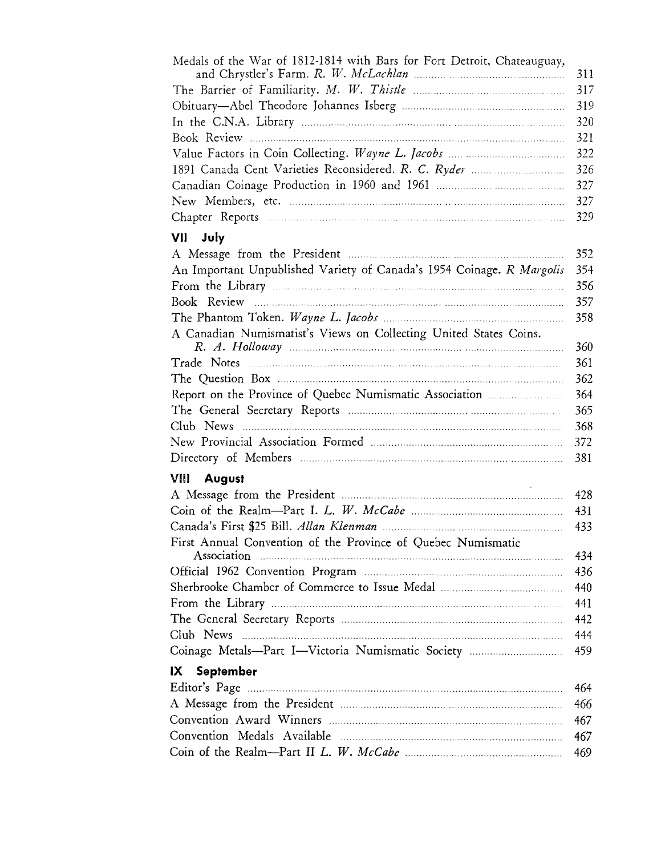| Medals of the War of 1812-1814 with Bars for Fort Detroit, Chateauguay, | 311 |
|-------------------------------------------------------------------------|-----|
|                                                                         | 317 |
|                                                                         | 319 |
|                                                                         | 320 |
|                                                                         | 321 |
|                                                                         | 322 |
|                                                                         | 326 |
|                                                                         | 327 |
|                                                                         | 327 |
|                                                                         | 329 |
| VII July                                                                |     |
|                                                                         | 352 |
| An Important Unpublished Variety of Canada's 1954 Coinage. R Margolis   | 354 |
|                                                                         | 356 |
|                                                                         | 357 |
|                                                                         | 358 |
| A Canadian Numismatist's Views on Collecting United States Coins.       | 360 |
|                                                                         | 361 |
|                                                                         | 362 |
|                                                                         | 364 |
|                                                                         | 365 |
|                                                                         | 368 |
|                                                                         | 372 |
|                                                                         | 381 |
| <b>VIII</b> August                                                      |     |
|                                                                         | 428 |
|                                                                         | 431 |
|                                                                         | 433 |
| First Annual Convention of the Province of Quebec Numismatic            |     |
|                                                                         | 434 |
|                                                                         | 436 |
|                                                                         | 440 |
|                                                                         | 441 |
|                                                                         | 442 |
|                                                                         | 444 |
| Coinage Metals-Part I-Victoria Numismatic Society                       | 459 |
| <b>September</b><br>IX                                                  |     |
|                                                                         | 464 |
|                                                                         | 466 |
|                                                                         | 467 |
|                                                                         | 467 |
|                                                                         | 469 |
|                                                                         |     |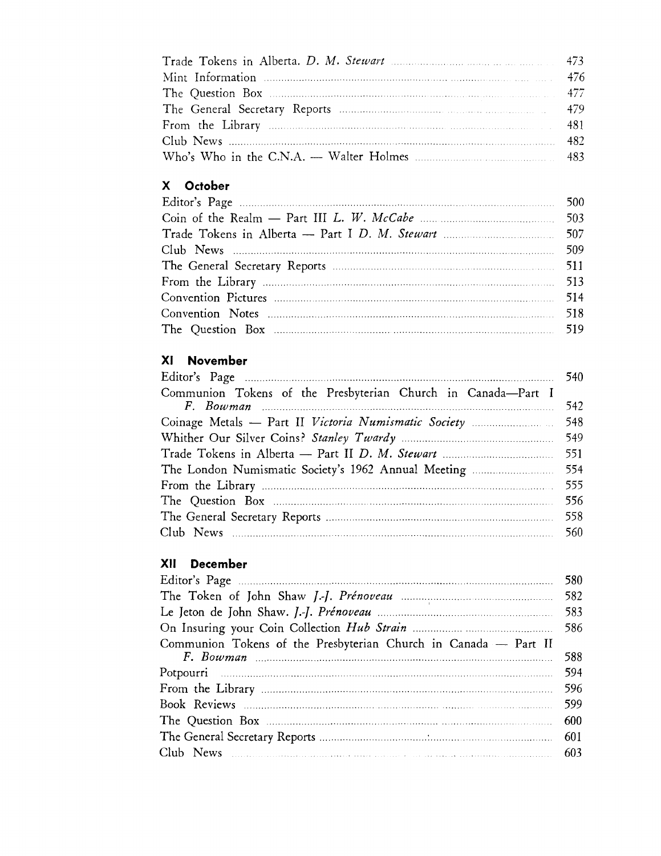| Trade Tokens in Alberta. D. M. Stewart manufacturers and the 473 |  |
|------------------------------------------------------------------|--|
|                                                                  |  |
|                                                                  |  |
|                                                                  |  |
|                                                                  |  |
|                                                                  |  |
|                                                                  |  |

# **X October**

### **XI November**

|                                                                                                                                  | 540 |
|----------------------------------------------------------------------------------------------------------------------------------|-----|
| Communion Tokens of the Presbyterian Church in Canada-Part I                                                                     |     |
| $F.$ Bowman $\ldots$ $\ldots$ $\ldots$ $\ldots$ $\ldots$ $\ldots$ $\ldots$ $\ldots$ $\ldots$ $\ldots$ $\ldots$ $\ldots$ $\ldots$ | 542 |
|                                                                                                                                  |     |
|                                                                                                                                  | 549 |
|                                                                                                                                  |     |
|                                                                                                                                  |     |
|                                                                                                                                  |     |
|                                                                                                                                  | 556 |
|                                                                                                                                  | 558 |
|                                                                                                                                  | 560 |
|                                                                                                                                  |     |

### **XII December**

|                                                                                                                                                                                                     | 580 |
|-----------------------------------------------------------------------------------------------------------------------------------------------------------------------------------------------------|-----|
|                                                                                                                                                                                                     |     |
|                                                                                                                                                                                                     |     |
|                                                                                                                                                                                                     | 586 |
| Communion Tokens of the Presbyterian Church in Canada - Part II<br>$F.$ Bowman $\ldots$ $\ldots$ $\ldots$ $\ldots$ $\ldots$ $\ldots$ $\ldots$ $\ldots$ $\ldots$ $\ldots$ $\ldots$ $\ldots$ $\ldots$ | 588 |
|                                                                                                                                                                                                     | 594 |
|                                                                                                                                                                                                     |     |
|                                                                                                                                                                                                     | 599 |
|                                                                                                                                                                                                     |     |
|                                                                                                                                                                                                     |     |
|                                                                                                                                                                                                     |     |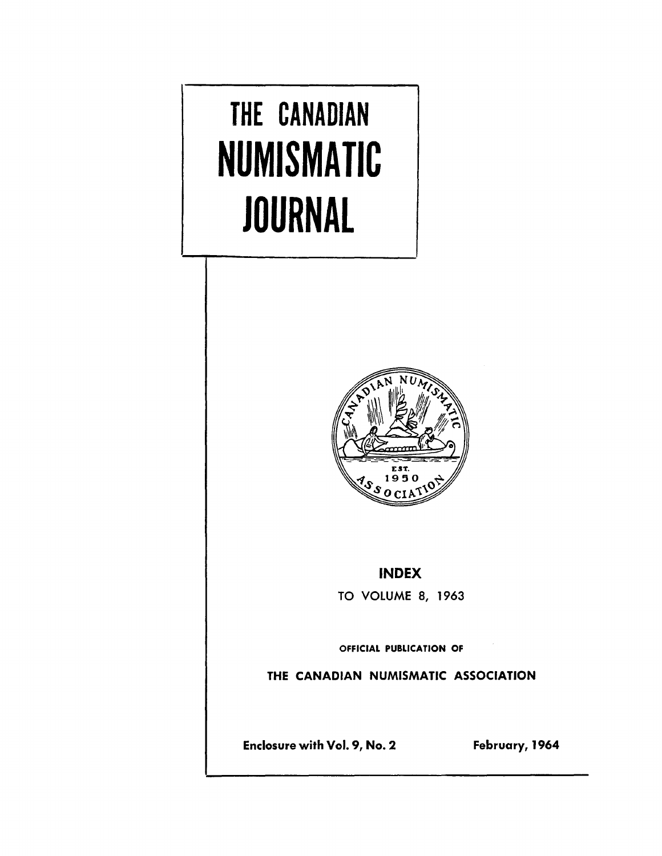# **THE CANADIAN NUMISMATIC JOURNAL**



### INDEX

TO VOLUME 8, 1963

OFFICIAL PUBLICATION OF

THE CANADIAN NUMISMATIC ASSOCIATION

Enclosure with Vol. 9, No.2 February, 1964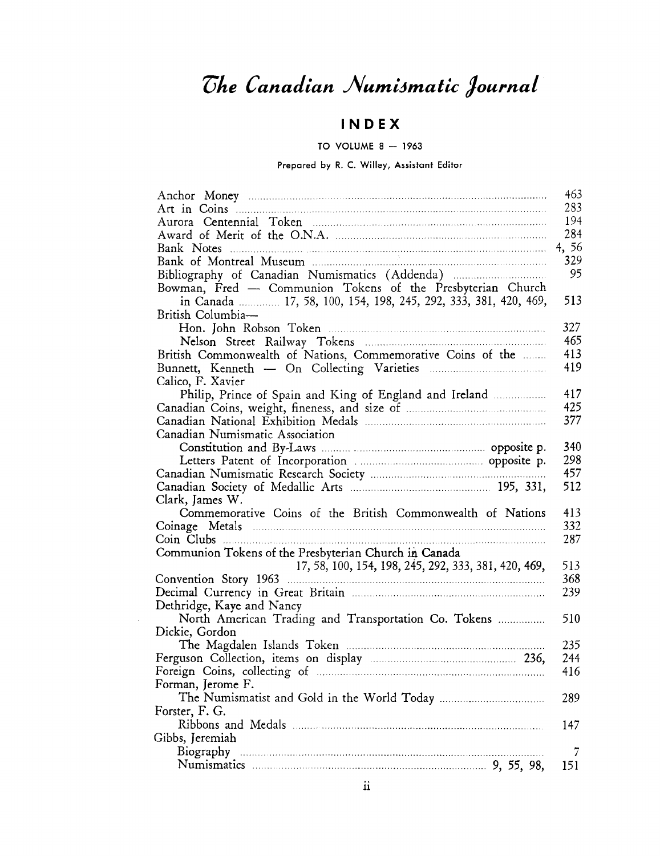# $The Canadian Numinatic Journal$

## IN D EX

#### TO VOLUME  $8 - 1963$

### Prepared by R. C. Willey, Assistant Editor

|                                                                                                                                                                                                                               | 463        |
|-------------------------------------------------------------------------------------------------------------------------------------------------------------------------------------------------------------------------------|------------|
|                                                                                                                                                                                                                               | 283        |
|                                                                                                                                                                                                                               | 194        |
|                                                                                                                                                                                                                               | 284        |
|                                                                                                                                                                                                                               | 4,56       |
|                                                                                                                                                                                                                               | 329        |
| Bibliography of Canadian Numismatics (Addenda)                                                                                                                                                                                | 95         |
| Bowman, Fred - Communion Tokens of the Presbyterian Church                                                                                                                                                                    |            |
| in Canada  17, 58, 100, 154, 198, 245, 292, 333, 381, 420, 469,                                                                                                                                                               | 513        |
| British Columbia-                                                                                                                                                                                                             |            |
|                                                                                                                                                                                                                               | 327        |
|                                                                                                                                                                                                                               | 465        |
| British Commonwealth of Nations, Commemorative Coins of the                                                                                                                                                                   | 413        |
|                                                                                                                                                                                                                               | 419        |
| Calico, F. Xavier                                                                                                                                                                                                             |            |
| Philip, Prince of Spain and King of England and Ireland                                                                                                                                                                       | 417        |
|                                                                                                                                                                                                                               | 425        |
|                                                                                                                                                                                                                               | 377        |
| Canadian Numismatic Association                                                                                                                                                                                               |            |
|                                                                                                                                                                                                                               | 340        |
|                                                                                                                                                                                                                               | 298        |
|                                                                                                                                                                                                                               | 457        |
|                                                                                                                                                                                                                               | 512        |
| Clark, James W.<br>Commemorative Coins of the British Commonwealth of Nations                                                                                                                                                 |            |
|                                                                                                                                                                                                                               | 413<br>332 |
|                                                                                                                                                                                                                               | 287        |
| Communion Tokens of the Presbyterian Church in Canada                                                                                                                                                                         |            |
| 17, 58, 100, 154, 198, 245, 292, 333, 381, 420, 469,                                                                                                                                                                          | 513        |
|                                                                                                                                                                                                                               | 368        |
|                                                                                                                                                                                                                               | 239        |
| Dethridge, Kaye and Nancy                                                                                                                                                                                                     |            |
| North American Trading and Transportation Co. Tokens                                                                                                                                                                          | 510        |
| Dickie, Gordon                                                                                                                                                                                                                |            |
|                                                                                                                                                                                                                               | 235        |
|                                                                                                                                                                                                                               | 244        |
| Foreign Coins, collecting of manufactured and contact and contact and contact and contact and contact and contact and contact and contact and contact and contact and contact and contact and contact and contact and contact | 416        |
| Forman, Jerome F.                                                                                                                                                                                                             |            |
|                                                                                                                                                                                                                               | 289        |
| Forster, F. G.                                                                                                                                                                                                                |            |
|                                                                                                                                                                                                                               | 147        |
| Gibbs, Jeremiah                                                                                                                                                                                                               |            |
|                                                                                                                                                                                                                               | 7          |
|                                                                                                                                                                                                                               | 151        |
|                                                                                                                                                                                                                               |            |

 $\ddot{\phantom{a}}$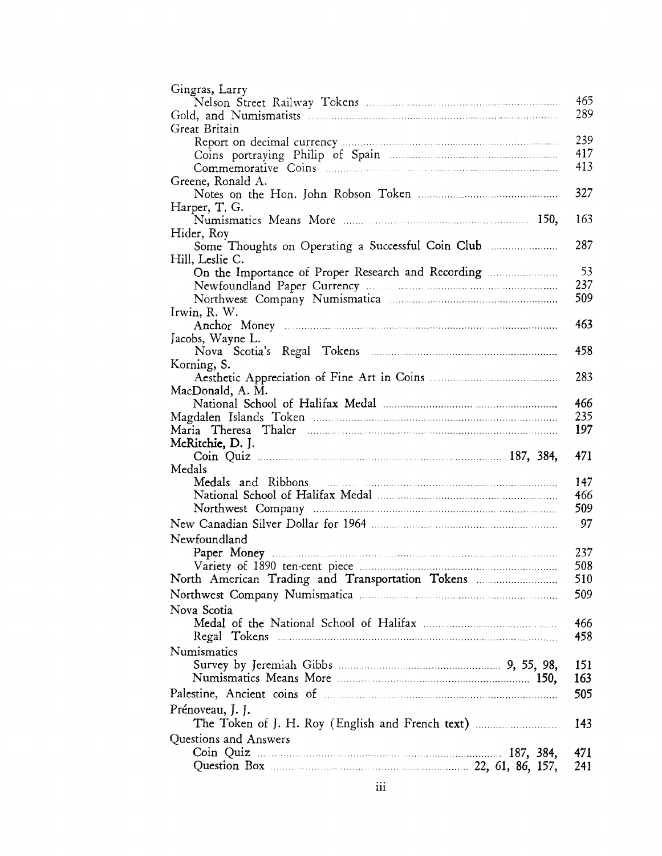| Gingras, Larry                                     |     |
|----------------------------------------------------|-----|
|                                                    | 465 |
|                                                    | 289 |
| Great Britain                                      |     |
|                                                    | 239 |
|                                                    | 417 |
|                                                    | 413 |
| Greene, Ronald A.                                  |     |
|                                                    | 327 |
| Harper, T. G.                                      |     |
|                                                    | 163 |
| Hider, Roy                                         |     |
| Some Thoughts on Operating a Successful Coin Club  | 287 |
| Hill, Leslie C.                                    |     |
| On the Importance of Proper Research and Recording | 53  |
|                                                    | 237 |
|                                                    | 509 |
| Irwin, R. W.                                       |     |
|                                                    | 463 |
| Jacobs, Wayne L.                                   |     |
|                                                    | 458 |
| Korning, S.                                        |     |
|                                                    | 283 |
| MacDonald, A. M.                                   |     |
|                                                    | 466 |
|                                                    | 235 |
|                                                    | 197 |
| McRitchie, D. J.                                   |     |
|                                                    | 471 |
| Medals                                             |     |
|                                                    | 147 |
|                                                    | 466 |
|                                                    | 509 |
|                                                    | 97  |
| Newfoundland                                       |     |
|                                                    | 237 |
|                                                    | 508 |
| North American Trading and Transportation Tokens   | 510 |
|                                                    | 509 |
| Nova Scotia                                        |     |
|                                                    | 466 |
|                                                    | 458 |
| Regal Tokens                                       |     |
| Numismatics                                        |     |
|                                                    | 151 |
|                                                    | 163 |
|                                                    | 505 |
| Prénoveau, J. J.                                   |     |
|                                                    | 143 |
| Questions and Answers                              |     |
|                                                    | 471 |
|                                                    | 241 |
|                                                    |     |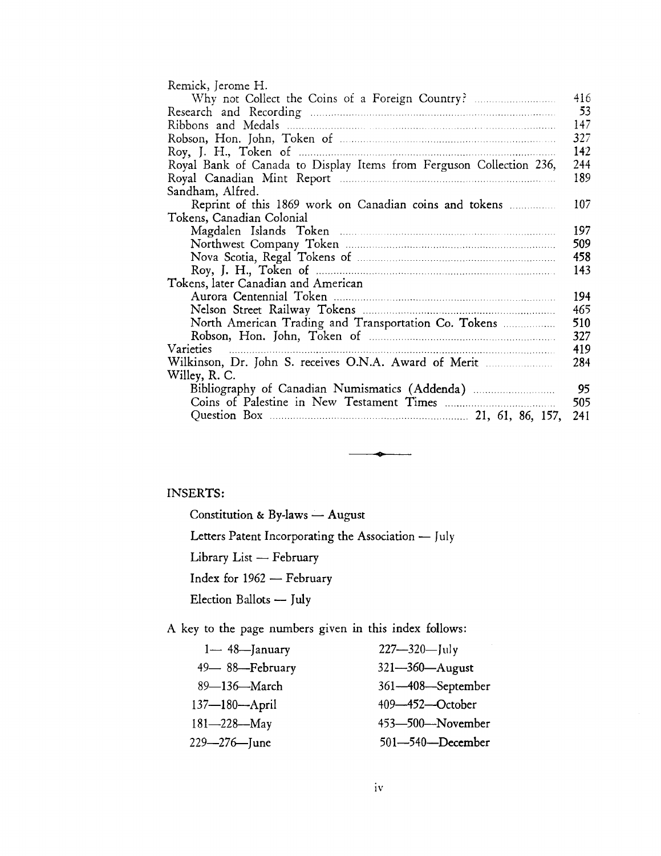| Remick, Jerome H.                                                   |     |
|---------------------------------------------------------------------|-----|
|                                                                     | 416 |
|                                                                     | 53  |
|                                                                     | 147 |
|                                                                     | 327 |
|                                                                     | 142 |
| Royal Bank of Canada to Display Items from Ferguson Collection 236, | 244 |
|                                                                     | 189 |
| Sandham, Alfred.                                                    |     |
|                                                                     | 107 |
| Tokens, Canadian Colonial                                           |     |
|                                                                     | 197 |
|                                                                     | 509 |
|                                                                     | 458 |
|                                                                     | 143 |
| Tokens, later Canadian and American                                 |     |
|                                                                     | 194 |
|                                                                     | 465 |
| North American Trading and Transportation Co. Tokens                | 510 |
|                                                                     | 327 |
| Varieties                                                           | 419 |
| Wilkinson, Dr. John S. receives O.N.A. Award of Merit               | 284 |
| Willey, R. C.                                                       |     |
| Bibliography of Canadian Numismatics (Addenda)                      | 95  |
|                                                                     | 505 |
|                                                                     | 241 |
|                                                                     |     |

**•**

### INSERTS:

Constitution & By-laws - August

Letters Patent Incorporating the Association - July

Library List - February

Index for 1962 - February

Election Ballots - July

A key to the page numbers given in this index follows:

| $1 - 48$ -January   | $227 - 320 - \ln y$    |
|---------------------|------------------------|
| 49-88-February      | 321-360-August         |
| 89—136—March        | 361-408-September      |
| $137 - 180 -$ April | $409 - 452 - October$  |
| $181 - 228 - May$   | $453 - 500 -$ November |
| $229 - 276$ June    | $501 - 540$ -December  |
|                     |                        |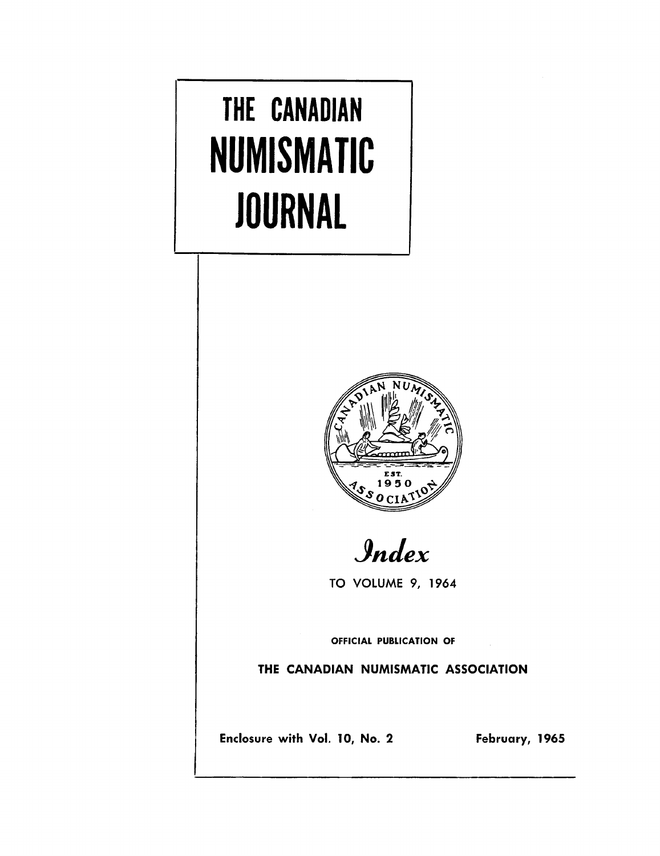# **THE CANADIAN NUMISMATIC JOURNAL**



*!J.nJex*

TO VOLUME 9, 1964

OFFICIAL PUBLICATION OF

THE CANADIAN NUMISMATIC ASSOCIATION

Enclosure with Vol. 10, No. 2 February, 1965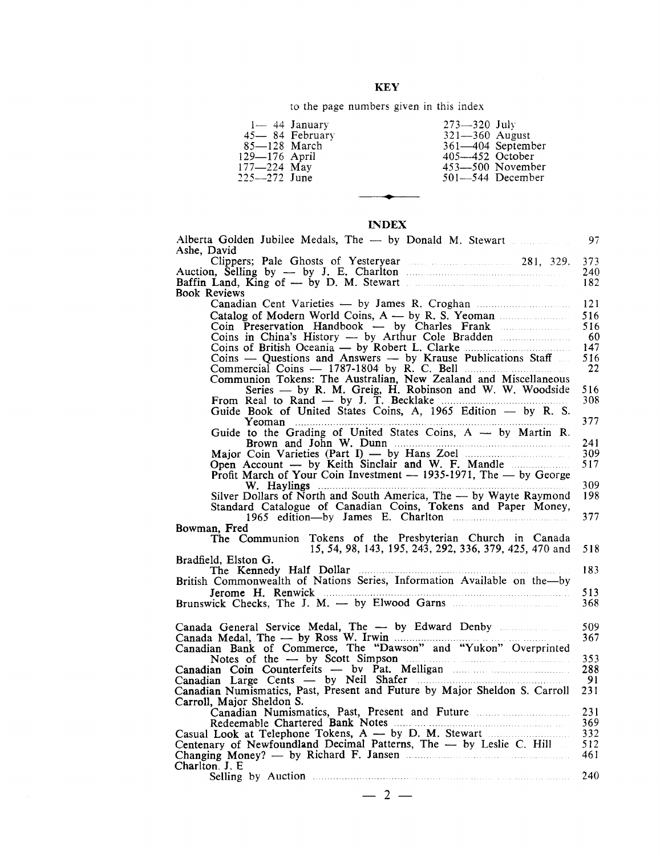### KEY

to the page numbers given in this index

| $85 - 128$ March<br>129-176 April<br>$177 - 224$ May<br>225—272 June | $1 - 44$ January<br>45 – 84 February | $273 - 320$ July<br>$321 - 360$ August<br>$405 - 452$ October | 361-404 September<br>$453 - 500$ November<br>$501 - 544$ December |
|----------------------------------------------------------------------|--------------------------------------|---------------------------------------------------------------|-------------------------------------------------------------------|
|----------------------------------------------------------------------|--------------------------------------|---------------------------------------------------------------|-------------------------------------------------------------------|

#### INDEX

**•**

| Alberta Golden Jubilee Medals, The - by Donald M. Stewart<br>Ashe, David                               | 97         |
|--------------------------------------------------------------------------------------------------------|------------|
| Clippers; Pale Ghosts of Yesteryear 281, 329,                                                          | 373        |
|                                                                                                        | 240        |
| Baffin Land, King of — by D. M. Stewart<br><b>Book Reviews</b>                                         | 182        |
|                                                                                                        | 121        |
|                                                                                                        | 516        |
| Coin Preservation Handbook — by Charles Frank                                                          | 516        |
| Coins in China's History — by Arthur Cole Bradden                                                      | 60<br>147  |
| Coins - Questions and Answers - by Krause Publications Staff                                           | 516        |
| Commercial Coins $-$ 1787-1804 by R. C. Bell $\ldots$                                                  | 22         |
| Communion Tokens: The Australian, New Zealand and Miscellaneous                                        | 516        |
| Series - by R. M. Greig, H. Robinson and W. W. Woodside                                                | 308        |
| From Real to Rand — by J. T. Becklake<br>Guide Book of United States Coins, A, 1965 Edition — by R. S. |            |
|                                                                                                        | 377        |
| Guide to the Grading of United States Coins, A - by Martin R.                                          | 241        |
|                                                                                                        | 309        |
| Open Account — by Keith Sinclair and W. F. Mandle                                                      | 517        |
| Profit March of Your Coin Investment $-$ 1935-1971, The $-$ by George                                  | 309        |
|                                                                                                        | 198        |
| Standard Catalogue of Canadian Coins, Tokens and Paper Money,                                          |            |
| 1965 edition-by James E. Charlton                                                                      | 377        |
| Bowman, Fred<br>The Communion Tokens of the Presbyterian Church in Canada                              |            |
| 15, 54, 98, 143, 195, 243, 292, 336, 379, 425, 470 and                                                 | 518        |
| Bradfield, Elston G.                                                                                   | 183        |
| British Commonwealth of Nations Series, Information Available on the-by                                |            |
|                                                                                                        | 513        |
|                                                                                                        | 368        |
|                                                                                                        |            |
|                                                                                                        | 509<br>367 |
|                                                                                                        |            |
|                                                                                                        | 353        |
|                                                                                                        | 288<br>91  |
| Canadian Numismatics, Past, Present and Future by Major Sheldon S. Carroll                             | 231        |
| Carroll, Major Sheldon S.                                                                              |            |
| Canadian Numismatics, Past, Present and Future                                                         | 231        |
| Casual Look at Telephone Tokens, A — by D. M. Stewart                                                  | 369<br>332 |
| Centenary of Newfoundland Decimal Patterns, The - by Leslie C. Hill                                    | 512        |
| Changing Money? — by Richard F. Jansen                                                                 | 461        |
| Charlton. J. E                                                                                         | 240        |
|                                                                                                        |            |
| $2 -$                                                                                                  |            |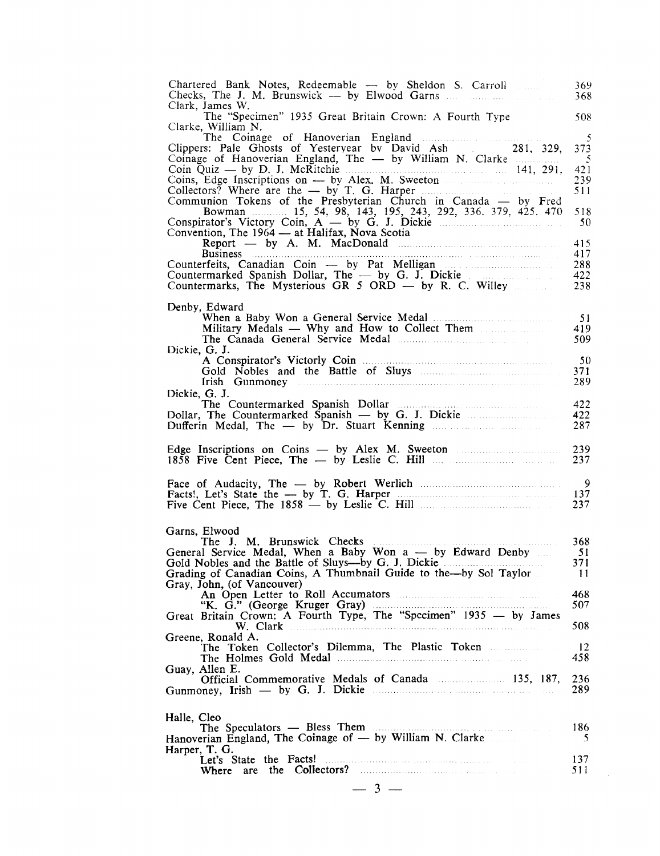| Chartered Bank Notes, Redeemable - by Sheldon S. Carroll<br>Clark, James W.                                                                                                                                                                                                                                                                                                                                                                                                                                                                                                                                                                              | 369<br>368                                              |
|----------------------------------------------------------------------------------------------------------------------------------------------------------------------------------------------------------------------------------------------------------------------------------------------------------------------------------------------------------------------------------------------------------------------------------------------------------------------------------------------------------------------------------------------------------------------------------------------------------------------------------------------------------|---------------------------------------------------------|
| The "Specimen" 1935 Great Britain Crown: A Fourth Type<br>Clarke, William N.                                                                                                                                                                                                                                                                                                                                                                                                                                                                                                                                                                             | 508                                                     |
| Clippers: Pale Ghosts of Yesteryear by David Ash 281, 329,<br>Coinage of Hanoverian England, The $-$ by William N. Clarke<br>Coin Quiz — by D. J. McRitchie $\ldots$ [41, 291,<br>Coins, Edge Inscriptions on - by Alex. M. Sweeton<br>Collectors? Where are the - by T. G. Harper<br>Communion Tokens of the Presbyterian Church in Canada — by Fred<br>Bowman 15, 54, 98, 143, 195, 243, 292, 336, 379, 425, 470<br>Conspirator's Victory Coin, $A - by G$ . J. Dickie and a set of the set of the constant of the constant of the constant of the constant of the constant of the constant of the constant of the constant of the constant of the con | -5<br>373<br>$\sim$ 5<br>421<br>239<br>511<br>518<br>50 |
| Convention, The 1964 — at Halifax, Nova Scotia<br>$Report \t - by A. M. MacDonald \t$<br><b>Business Example 2016 CONSUMER 2016 CONSUMER 2016 CONSUMER 2016 CONSUMER 2016</b>                                                                                                                                                                                                                                                                                                                                                                                                                                                                            | 415<br>417                                              |
| Counterfeits, Canadian Coin — by Pat Melligan<br>Countermarked Spanish Dollar, The — by G. J. Dickie<br>Countermarks, The Mysterious GR 5 ORD — by R. C. Willey                                                                                                                                                                                                                                                                                                                                                                                                                                                                                          | 288<br>422<br>238                                       |
| Denby, Edward<br>Military Medals — Why and How to Collect Them<br>Dickie, G. J.                                                                                                                                                                                                                                                                                                                                                                                                                                                                                                                                                                          | 51<br>419<br>509                                        |
|                                                                                                                                                                                                                                                                                                                                                                                                                                                                                                                                                                                                                                                          | 50<br>371<br>289                                        |
| Dickie, G. J.<br>Dollar, The Countermarked $\hat{Spanish}$ — by G. J. Dickie                                                                                                                                                                                                                                                                                                                                                                                                                                                                                                                                                                             | 422<br>422<br>287                                       |
| Edge Inscriptions on Coins — by Alex M. Sweeton                                                                                                                                                                                                                                                                                                                                                                                                                                                                                                                                                                                                          | 239<br>237                                              |
| Facts!, Let's State the - by T. G. Harper                                                                                                                                                                                                                                                                                                                                                                                                                                                                                                                                                                                                                | $\overline{9}$<br>137<br>237                            |
| Garns, Elwood<br>a sa sala na<br>General Service Medal, When a Baby Won a - by Edward Denby<br>Grading of Canadian Coins, A Thumbnail Guide to the-by Sol Taylor<br>Gray, John, (of Vancouver)                                                                                                                                                                                                                                                                                                                                                                                                                                                           | 368<br>51<br>371<br>11                                  |
| Great Britain Crown: A Fourth Type, The "Specimen" 1935 - by James                                                                                                                                                                                                                                                                                                                                                                                                                                                                                                                                                                                       | 468<br>507<br>508                                       |
| Greene, Ronald A.<br>The Token Collector's Dilemma, The Plastic Token                                                                                                                                                                                                                                                                                                                                                                                                                                                                                                                                                                                    | 12<br>458                                               |
| Guay, Allen E.<br>Official Commemorative Medals of Canada 135, 187,<br>Gunmoney, Irish — by G. J. Dickie <b>Election</b> 2014                                                                                                                                                                                                                                                                                                                                                                                                                                                                                                                            | 236<br>289                                              |
| Halle, Cleo<br>Hanoverian England, The Coinage of - by William N. Clarke                                                                                                                                                                                                                                                                                                                                                                                                                                                                                                                                                                                 | 186<br>5                                                |
| Harper, T. G.<br>Let's State the Facts!<br>Where                                                                                                                                                                                                                                                                                                                                                                                                                                                                                                                                                                                                         | 137<br>511                                              |
| $-3-$                                                                                                                                                                                                                                                                                                                                                                                                                                                                                                                                                                                                                                                    |                                                         |

 $\mathcal{A}^{\mathcal{A}}$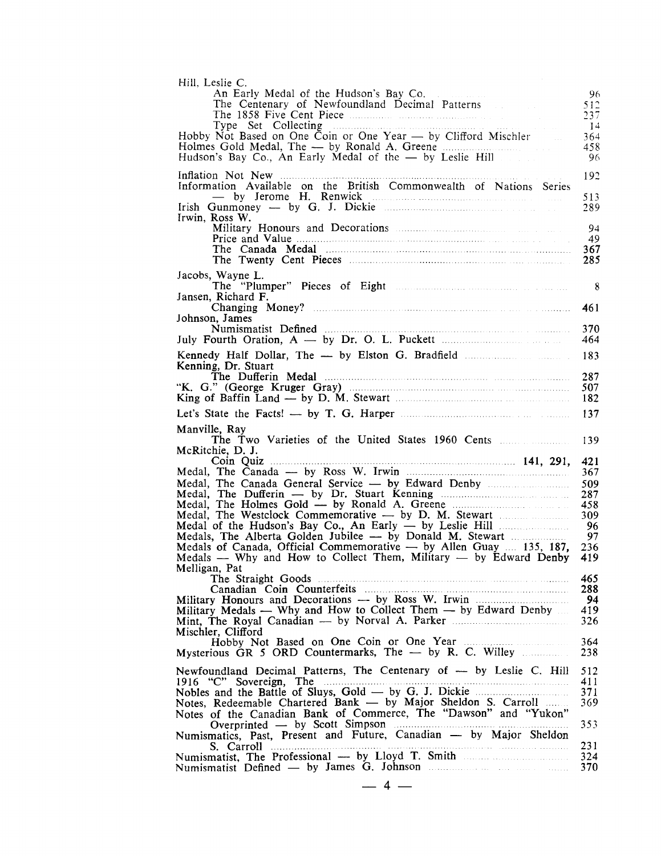| An Early Medal of the Hudson's Bay Co.                                                                                                                                                          | 96          |
|-------------------------------------------------------------------------------------------------------------------------------------------------------------------------------------------------|-------------|
| The Centenary of Newfoundland Decimal Patterns                                                                                                                                                  | 512<br>237  |
|                                                                                                                                                                                                 | -14         |
| Hobby Not Based on One Coin or One Year — by Clifford Mischler<br>$\mathcal{L}_{\text{max}}$                                                                                                    | 364         |
|                                                                                                                                                                                                 | 458         |
| Hudson's Bay Co., An Early Medal of the - by Leslie Hill                                                                                                                                        | 96          |
|                                                                                                                                                                                                 | 192         |
| Information Available on the British Commonwealth of Nations Series                                                                                                                             | 513         |
|                                                                                                                                                                                                 | 289         |
| Irwin. Ross W.                                                                                                                                                                                  |             |
|                                                                                                                                                                                                 | 94          |
|                                                                                                                                                                                                 | 49<br>367   |
|                                                                                                                                                                                                 | 285         |
| Jacobs, Wayne L.                                                                                                                                                                                |             |
|                                                                                                                                                                                                 | 8           |
| Jansen, Richard F.                                                                                                                                                                              |             |
|                                                                                                                                                                                                 | 461         |
| Johnson, James                                                                                                                                                                                  | 370         |
|                                                                                                                                                                                                 | 464         |
|                                                                                                                                                                                                 | 183         |
| Kenning, Dr. Stuart                                                                                                                                                                             |             |
|                                                                                                                                                                                                 | 287         |
|                                                                                                                                                                                                 | 507         |
|                                                                                                                                                                                                 | 182         |
|                                                                                                                                                                                                 | 137         |
| Manville, Ray                                                                                                                                                                                   |             |
|                                                                                                                                                                                                 |             |
|                                                                                                                                                                                                 | 139         |
| McRitchie, D. J.<br>Coin Quiz                                                                                                                                                                   |             |
| $\cdots$ 141, 291,                                                                                                                                                                              | 421<br>367  |
|                                                                                                                                                                                                 | 509         |
|                                                                                                                                                                                                 | 287         |
|                                                                                                                                                                                                 | 458         |
| Medal, The Westclock Commemorative — by D. M. Stewart                                                                                                                                           | 309<br>- 96 |
| Medals, The Alberta Golden Jubilee - by Donald M. Stewart                                                                                                                                       | 97          |
| Medals of Canada, Official Commemorative $-$ by Allen Guay $\ldots$ 135, 187,                                                                                                                   | 236         |
| Medals — Why and How to Collect Them, Military — by Edward Denby                                                                                                                                | 419         |
| Melligan, Pat                                                                                                                                                                                   | 465         |
|                                                                                                                                                                                                 | 288         |
|                                                                                                                                                                                                 | 94          |
| Military Medals - Why and How to Collect Them - by Edward Denby                                                                                                                                 | 419         |
| Mint, The Royal Canadian — by Norval A. Parker<br>Mischler, Clifford                                                                                                                            | 326         |
|                                                                                                                                                                                                 | 364         |
| Mysterious GR 5 ORD Countermarks, The - by R. C. Willey                                                                                                                                         | 238         |
| Newfoundland Decimal Patterns, The Centenary of -- by Leslie C. Hill                                                                                                                            | 512         |
| 1916 "C" Sovereign, The<br>.                                                                                                                                                                    | 411         |
|                                                                                                                                                                                                 | 371         |
| Notes, Redeemable Chartered Bank — by Major Sheldon S. Carroll<br>Notes of the Canadian Bank of Commerce, The "Dawson" and "Yukon"                                                              |             |
| Overprinted — by Scott Simpson <b>Election</b> Section 2016                                                                                                                                     | 369<br>353  |
| Numismatics, Past, Present and Future, Canadian - by Major Sheldon                                                                                                                              |             |
| S. Carroll                                                                                                                                                                                      | 231<br>324  |
| Numismatist, The Professional — by Lloyd T. Smith <b>Election</b> 2016<br>Numismatist Defined — by James G. Johnson <b>Election Communist</b> Communist Communist Communist Communist Communist | 370         |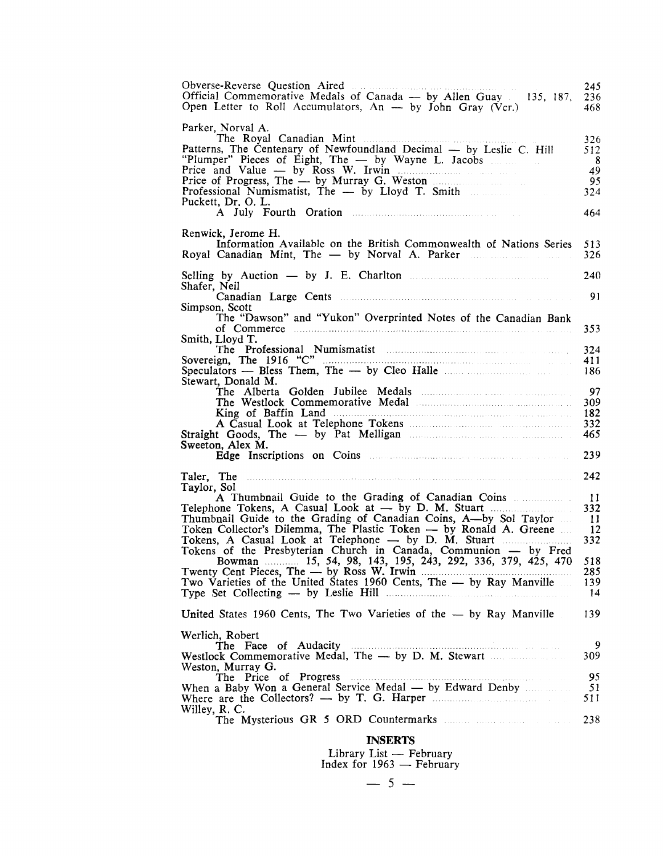| Obverse-Reverse Question Aired<br>Official Commemorative Medals of Canada - by Allen Guay 135, 187.<br>Open Letter to Roll Accumulators, $An - by John Gray (Vcr.)$                                                                                                                                                                                                                                                                                                                                                         | 245<br>236<br>468.                                              |
|-----------------------------------------------------------------------------------------------------------------------------------------------------------------------------------------------------------------------------------------------------------------------------------------------------------------------------------------------------------------------------------------------------------------------------------------------------------------------------------------------------------------------------|-----------------------------------------------------------------|
| Parker, Norval A.<br>The Royal Canadian Mint<br>Patterns, The Centenary of Newfoundland Decimal — by Leslie C. Hill<br>"Plumper" Pieces of Eight, The — by Wayne L. Jacobs<br>Price and Value — by Ross W. Irwin<br>Price of Progress, The — by Murray G. Weston<br>Professional Numismatist, The — by Lloyd T. Smith<br>Puckett, Dr. O. L.                                                                                                                                                                                 | 326<br>512<br>- 8<br>49<br>95<br>324<br>464                     |
| Renwick, Jerome H.<br>Information Available on the British Commonwealth of Nations Series<br>Royal Canadian Mint, The — by Norval A. Parker                                                                                                                                                                                                                                                                                                                                                                                 | 513<br>326                                                      |
| Selling by Auction $-$ by J. E. Charlton $\ldots$<br>Shafer, Neil                                                                                                                                                                                                                                                                                                                                                                                                                                                           | 240<br>91                                                       |
| Simpson, Scott<br>The "Dawson" and "Yukon" Overprinted Notes of the Canadian Bank<br>of Commerce <b>communities</b> and the communities of commerce <b>communities</b> and the contract of communities of contract of contract of contract of contract of contract of contract of contract of contract of contract of contrac<br>Smith, Lloyd T.                                                                                                                                                                            | 353                                                             |
| Speculators — Bless Them, The — by Cleo Halle<br>Stewart, Donald M.                                                                                                                                                                                                                                                                                                                                                                                                                                                         | 324<br>411<br>186                                               |
| Sweeton, Alex M.                                                                                                                                                                                                                                                                                                                                                                                                                                                                                                            | 97<br>309<br>182<br>332<br>465                                  |
|                                                                                                                                                                                                                                                                                                                                                                                                                                                                                                                             | 239                                                             |
| Taler, The<br>Taylor, Sol<br>A Thumbnail Guide to the Grading of Canadian Coins<br>Thumbnail Guide to the Grading of Canadian Coins, A-by Sol Taylor<br>Token Collector's Dilemma, The Plastic Token — by Ronald A. Greene<br>Tokens of the Presbyterian Church in Canada, Communion — by Fred<br>Bowman 15, 54, 98, 143, 195, 243, 292, 336, 379, 425, 470<br>Two Varieties of the United States 1960 Cents, The - by Ray Manville<br>Type Set Collecting — by Leslie Hill <b>Election</b> Set Collecting — by Leslie Hill | 242<br>11<br>332<br>11<br>12<br>332<br>518<br>285.<br>139<br>14 |
| United States 1960 Cents, The Two Varieties of the $-$ by Ray Manville                                                                                                                                                                                                                                                                                                                                                                                                                                                      | 139                                                             |
| Werlich, Robert<br>Westlock Commemorative Medal, The - by D. M. Stewart<br>Weston, Murray G.<br>The Price of Progress<br>When a Baby Won a General Service Medal — by Edward Denby<br>Willey, R. C.                                                                                                                                                                                                                                                                                                                         | 9<br>309<br>95<br>51<br>511<br>238                              |
| <b>INSERTS</b><br>Library List — February                                                                                                                                                                                                                                                                                                                                                                                                                                                                                   |                                                                 |

Index for  $1963$  — February<br>
- 5 —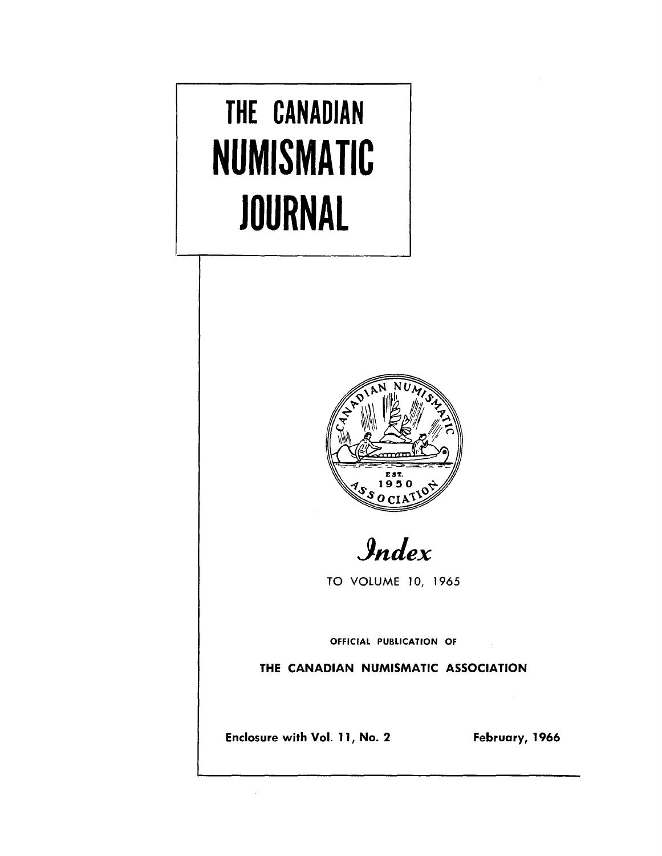# **THE CANADIAN NUMISMATIC JOURNAL**



*JnJex*

TO VOLUME 10, 1965

OFFICIAL PUBLICATION OF

THE CANADIAN NUMISMATIC ASSOCIATION

Enclosure with Vol. 11, No. 2 February, 1966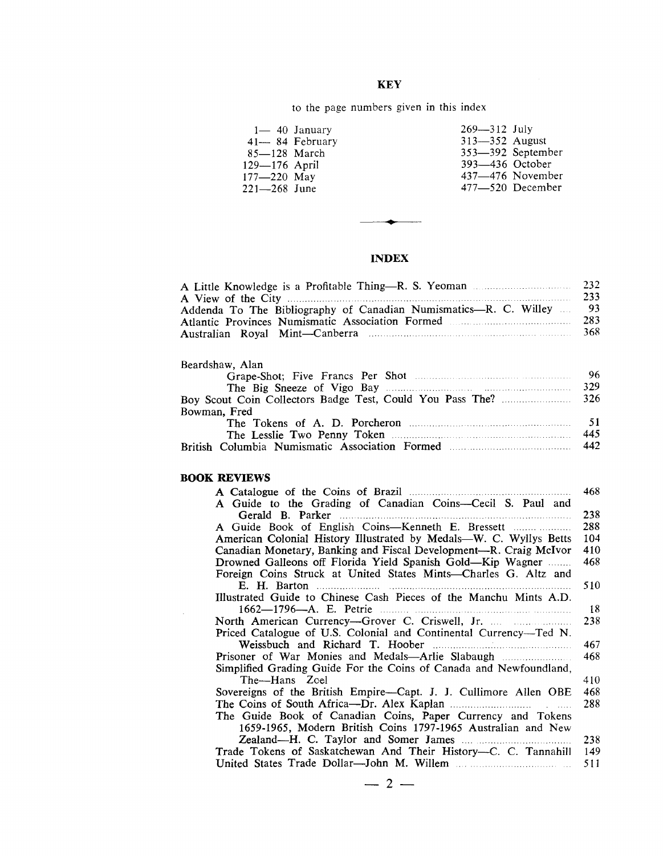### **KEY**

### to the page numbers given in this index

| $85 - 128$ March<br>129–176 April<br>$177 - 220$ May | $1 - 40$ January<br>$41 - 84$ February | $269 - 312$ July<br>$313 - 352$ August<br>393–436 October | 353-392 September<br>$437 - 476$ November |
|------------------------------------------------------|----------------------------------------|-----------------------------------------------------------|-------------------------------------------|
| 221—268 June                                         |                                        |                                                           | $477 - 520$ December                      |
|                                                      |                                        |                                                           |                                           |

### **INDEX**

**•**

|                                                                      | 232  |
|----------------------------------------------------------------------|------|
|                                                                      | 233  |
| Addenda To The Bibliography of Canadian Numismatics-R. C. Willey  93 |      |
|                                                                      | 283  |
|                                                                      | -368 |

### Beardshaw, Alan

British Columbia Numismatic Association Formed

|              | -96  |
|--------------|------|
|              | 329  |
|              |      |
| Bowman. Fred |      |
|              | - 51 |
|              | 445  |

442

### **BOOK REVIEWS**

 $\bar{z}$ 

| 468                                                                      |     |
|--------------------------------------------------------------------------|-----|
| A Guide to the Grading of Canadian Coins-Cecil S. Paul and               |     |
|                                                                          | 238 |
| 288                                                                      |     |
| American Colonial History Illustrated by Medals-W. C. Wyllys Betts       | 104 |
| 410<br>Canadian Monetary, Banking and Fiscal Development—R. Craig McIvor |     |
| Drowned Galleons off Florida Yield Spanish Gold—Kip Wagner               | 468 |
| Foreign Coins Struck at United States Mints—Charles G. Altz and          |     |
|                                                                          | 510 |
| Illustrated Guide to Chinese Cash Pieces of the Manchu Mints A.D.        |     |
|                                                                          | 18  |
| North American Currency—Grover C. Criswell, Jr.                          | 238 |
| Priced Catalogue of U.S. Colonial and Continental Currency-Ted N.        |     |
|                                                                          | 467 |
|                                                                          | 468 |
| Simplified Grading Guide For the Coins of Canada and Newfoundland,       |     |
| The---Hans Zoel                                                          | 410 |
| Sovereigns of the British Empire-Capt. J. J. Cullimore Allen OBE         | 468 |
|                                                                          | 288 |
| The Guide Book of Canadian Coins, Paper Currency and Tokens              |     |
| 1659-1965, Modern British Coins 1797-1965 Australian and New             |     |
|                                                                          | 238 |
| Trade Tokens of Saskatchewan And Their History-C. C. Tannahill           | 149 |
|                                                                          | 511 |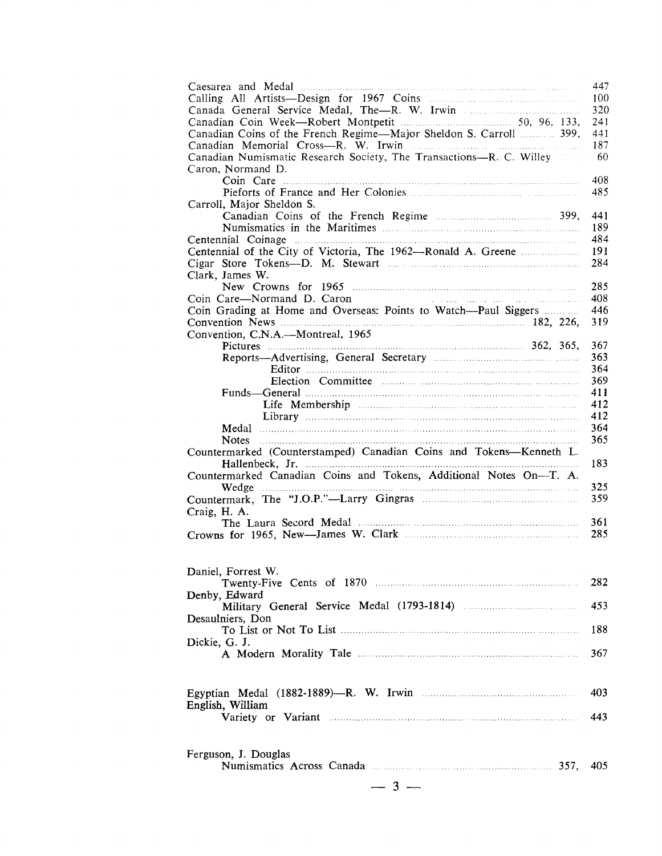|                                                                                                                                                                                                                                                                | 447        |
|----------------------------------------------------------------------------------------------------------------------------------------------------------------------------------------------------------------------------------------------------------------|------------|
|                                                                                                                                                                                                                                                                | 100        |
|                                                                                                                                                                                                                                                                | 320        |
|                                                                                                                                                                                                                                                                | 241        |
| Canadian Coins of the French Regime-Major Sheldon S. Carroll  399,                                                                                                                                                                                             | 441        |
| Canadian Memorial Cross-R. W. Irwin manufacturers and containing the Canadian Memorial                                                                                                                                                                         | 187        |
| Canadian Numismatic Research Society, The Transactions---R. C. Willey                                                                                                                                                                                          | 60         |
| Caron, Normand D.                                                                                                                                                                                                                                              |            |
|                                                                                                                                                                                                                                                                | 408        |
|                                                                                                                                                                                                                                                                | 485        |
| Carroll, Major Sheldon S.                                                                                                                                                                                                                                      |            |
|                                                                                                                                                                                                                                                                | 441<br>189 |
|                                                                                                                                                                                                                                                                | 484        |
|                                                                                                                                                                                                                                                                | 191        |
|                                                                                                                                                                                                                                                                | 284        |
| Clark, James W.                                                                                                                                                                                                                                                |            |
|                                                                                                                                                                                                                                                                | 285        |
| Coin Care—Normand D. Caron<br>a se a presenta de la caractería de la caractería de la caractería de la caractería de la caractería de la car<br>La caractería de la caractería de la caractería de la caractería de la caractería de la caractería de la carac | 408        |
| Coin Grading at Home and Overseas: Points to Watch-Paul Siggers                                                                                                                                                                                                | 446        |
|                                                                                                                                                                                                                                                                | 319        |
| Convention, C.N.A.—Montreal, 1965                                                                                                                                                                                                                              |            |
|                                                                                                                                                                                                                                                                | 367        |
|                                                                                                                                                                                                                                                                | 363        |
|                                                                                                                                                                                                                                                                | 364        |
|                                                                                                                                                                                                                                                                | 369        |
| Funds—General manufactured and the settlement of the settlement of the settlement of the settlement of the settlement of the settlement of the settlement of the settlement of the settlement of the settlement of the settlem                                 | 411        |
|                                                                                                                                                                                                                                                                | 412        |
|                                                                                                                                                                                                                                                                | 412        |
|                                                                                                                                                                                                                                                                | 364        |
|                                                                                                                                                                                                                                                                |            |
|                                                                                                                                                                                                                                                                | 365        |
|                                                                                                                                                                                                                                                                |            |
| Countermarked (Counterstamped) Canadian Coins and Tokens-Kenneth L.                                                                                                                                                                                            | 183        |
| Countermarked Canadian Coins and Tokens, Additional Notes On-T. A.                                                                                                                                                                                             |            |
|                                                                                                                                                                                                                                                                | 325        |
|                                                                                                                                                                                                                                                                | 359        |
| Craig, H. A.                                                                                                                                                                                                                                                   |            |
|                                                                                                                                                                                                                                                                | 361        |
|                                                                                                                                                                                                                                                                | 285        |
|                                                                                                                                                                                                                                                                |            |
|                                                                                                                                                                                                                                                                |            |
| Daniel, Forrest W.                                                                                                                                                                                                                                             |            |
|                                                                                                                                                                                                                                                                | 282        |
| Denby, Edward                                                                                                                                                                                                                                                  |            |
| Military General Service Medal (1793-1814) <b>Military</b> General Service Medal (1793-1814)                                                                                                                                                                   | 453        |
| Desaulniers, Don                                                                                                                                                                                                                                               |            |
|                                                                                                                                                                                                                                                                | 188        |
| Dickie, G. J.                                                                                                                                                                                                                                                  |            |
|                                                                                                                                                                                                                                                                | 367        |
|                                                                                                                                                                                                                                                                |            |
|                                                                                                                                                                                                                                                                |            |
|                                                                                                                                                                                                                                                                | 403        |
| English, William                                                                                                                                                                                                                                               |            |
|                                                                                                                                                                                                                                                                | 443        |
|                                                                                                                                                                                                                                                                |            |
|                                                                                                                                                                                                                                                                |            |
| Ferguson, J. Douglas                                                                                                                                                                                                                                           |            |
|                                                                                                                                                                                                                                                                | 405        |
| $-3-$                                                                                                                                                                                                                                                          |            |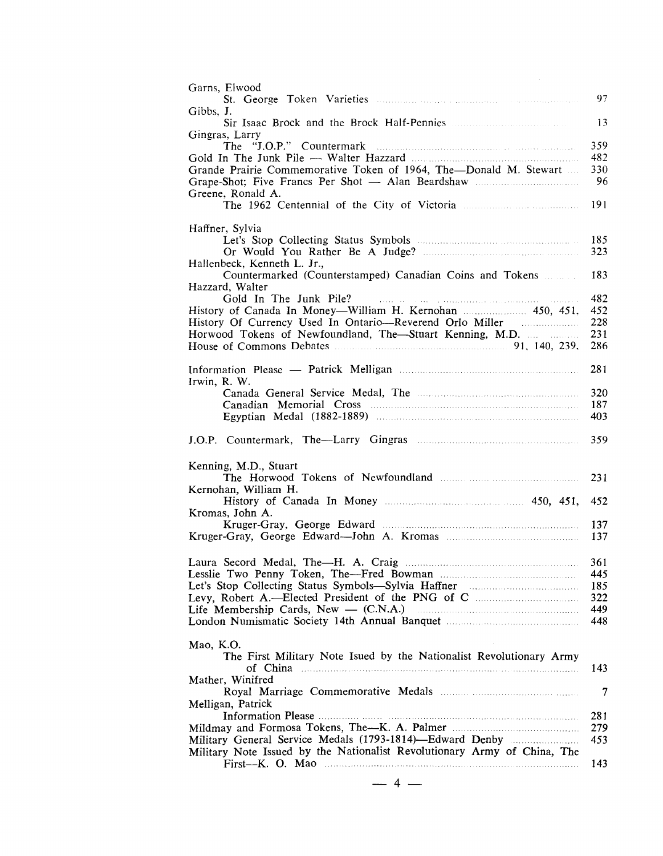| Garns, Elwood                                                                                                                                                                                                                                       | 97         |
|-----------------------------------------------------------------------------------------------------------------------------------------------------------------------------------------------------------------------------------------------------|------------|
| Gibbs, J.                                                                                                                                                                                                                                           |            |
| Sir Isaac Brock and the Brock Half-Pennies<br>Gingras, Larry                                                                                                                                                                                        | 13         |
|                                                                                                                                                                                                                                                     | 359        |
|                                                                                                                                                                                                                                                     | 482        |
| Grande Prairie Commemorative Token of 1964, The-Donald M. Stewart                                                                                                                                                                                   | 330        |
|                                                                                                                                                                                                                                                     | 96         |
| Greene, Ronald A.                                                                                                                                                                                                                                   | 191        |
|                                                                                                                                                                                                                                                     |            |
| Haffner, Sylvia                                                                                                                                                                                                                                     |            |
|                                                                                                                                                                                                                                                     | 185        |
| Hallenbeck, Kenneth L. Jr.,                                                                                                                                                                                                                         | 323        |
| Countermarked (Counterstamped) Canadian Coins and Tokens                                                                                                                                                                                            | 183        |
| Hazzard, Walter                                                                                                                                                                                                                                     |            |
| Gold In The Junk Pile?<br>.<br>2002 - La companya de la caractería de la manda de la caractería de la caractería de la caractería de la carac                                                                                                       | 482        |
| History of Canada In Money-William H. Kernohan  450, 451,<br>History Of Currency Used In Ontario-Reverend Orlo Miller                                                                                                                               | 452<br>228 |
| Horwood Tokens of Newfoundland, The-Stuart Kenning, M.D.                                                                                                                                                                                            | 231        |
|                                                                                                                                                                                                                                                     | 286        |
|                                                                                                                                                                                                                                                     |            |
| Information Please — Patrick Melligan <b>Matrician</b> Material Please and Please and Please and Please and Please and Please and Please and Please and Please and Please and Please and Please and Please and Please and Please an<br>Irwin, R. W. | 281        |
|                                                                                                                                                                                                                                                     | 320        |
|                                                                                                                                                                                                                                                     | 187        |
|                                                                                                                                                                                                                                                     | 403        |
|                                                                                                                                                                                                                                                     | 359        |
|                                                                                                                                                                                                                                                     |            |
| Kenning, M.D., Stuart                                                                                                                                                                                                                               |            |
|                                                                                                                                                                                                                                                     | 231        |
| Kernohan, William H.                                                                                                                                                                                                                                | 452        |
| Kromas, John A.                                                                                                                                                                                                                                     |            |
|                                                                                                                                                                                                                                                     | 137        |
| Kruger-Gray, George Edward-John A. Kromas                                                                                                                                                                                                           | 137        |
|                                                                                                                                                                                                                                                     | 361        |
|                                                                                                                                                                                                                                                     | 445        |
|                                                                                                                                                                                                                                                     | 185        |
|                                                                                                                                                                                                                                                     | 322        |
|                                                                                                                                                                                                                                                     | 449<br>448 |
|                                                                                                                                                                                                                                                     |            |
| Mao, K.O.                                                                                                                                                                                                                                           |            |
| The First Military Note Isued by the Nationalist Revolutionary Army                                                                                                                                                                                 |            |
| of China<br>Mather, Winifred                                                                                                                                                                                                                        | 143        |
|                                                                                                                                                                                                                                                     | 7          |
| Melligan, Patrick                                                                                                                                                                                                                                   |            |
|                                                                                                                                                                                                                                                     | 281        |
|                                                                                                                                                                                                                                                     | 279        |
| Military General Service Medals (1793-1814)-Edward Denby<br>Military Note Issued by the Nationalist Revolutionary Army of China, The                                                                                                                | 453        |
| $First-K. O. Mao$                                                                                                                                                                                                                                   | 143        |
|                                                                                                                                                                                                                                                     |            |
| $4 -$                                                                                                                                                                                                                                               |            |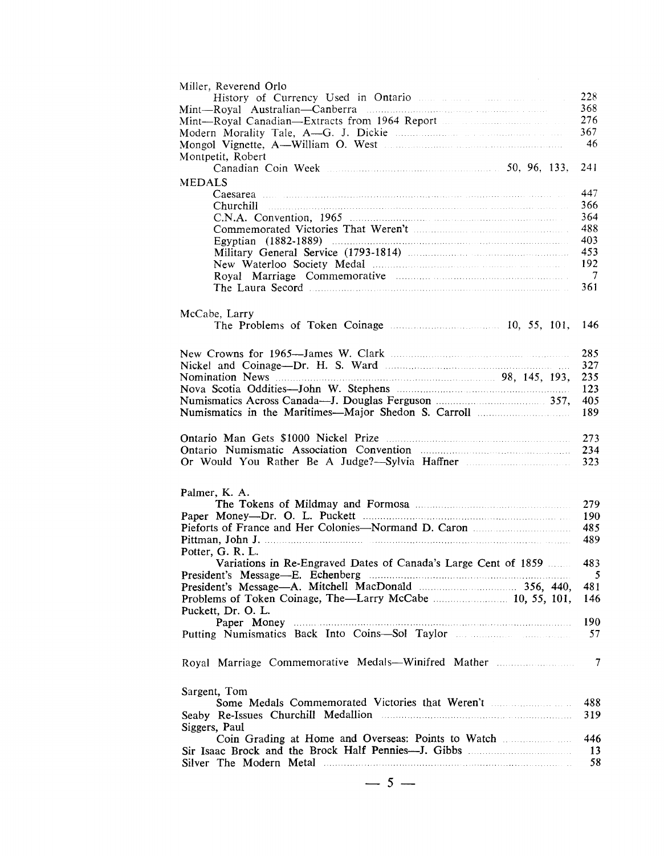| Miller, Reverend Orlo                                                                                    |     |
|----------------------------------------------------------------------------------------------------------|-----|
|                                                                                                          | 228 |
|                                                                                                          | 368 |
|                                                                                                          | 276 |
|                                                                                                          | 367 |
|                                                                                                          | 46  |
| Montpetit, Robert                                                                                        |     |
| Canadian Coin Week <b>Exercise 2018</b> 50, 96, 133,                                                     | 241 |
| <b>MEDALS</b>                                                                                            |     |
|                                                                                                          | 447 |
|                                                                                                          | 366 |
|                                                                                                          | 364 |
|                                                                                                          | 488 |
|                                                                                                          | 403 |
|                                                                                                          | 453 |
|                                                                                                          | 192 |
|                                                                                                          | -7  |
|                                                                                                          | 361 |
|                                                                                                          |     |
|                                                                                                          |     |
| McCabe, Larry                                                                                            |     |
|                                                                                                          | 146 |
|                                                                                                          |     |
|                                                                                                          | 285 |
|                                                                                                          | 327 |
|                                                                                                          | 235 |
|                                                                                                          | 123 |
|                                                                                                          | 405 |
|                                                                                                          | 189 |
|                                                                                                          |     |
|                                                                                                          |     |
|                                                                                                          | 273 |
|                                                                                                          | 234 |
| Or Would You Rather Be A Judge?-Sylvia Haffner                                                           | 323 |
|                                                                                                          |     |
| Palmer, K. A.                                                                                            |     |
|                                                                                                          | 279 |
|                                                                                                          | 190 |
|                                                                                                          | 485 |
| Pittman, John J.                                                                                         | 489 |
| Potter, G. R. L.                                                                                         |     |
| Variations in Re-Engraved Dates of Canada's Large Cent of 1859                                           | 483 |
|                                                                                                          |     |
|                                                                                                          | 5   |
|                                                                                                          | 481 |
|                                                                                                          | 146 |
| Puckett, Dr. O. L.                                                                                       |     |
| Paper Money                                                                                              | 190 |
|                                                                                                          | 57  |
|                                                                                                          |     |
| Royal Marriage Commemorative Medals-Winifred Mather                                                      | 7   |
|                                                                                                          |     |
|                                                                                                          |     |
| Sargent, Tom                                                                                             |     |
| Some Medals Commemorated Victories that Weren't <b>Marken</b> Medals Commemorated Victories that Weren't | 488 |
|                                                                                                          | 319 |
| Siggers, Paul                                                                                            |     |
| Coin Grading at Home and Overseas: Points to Watch                                                       | 446 |
|                                                                                                          | 13  |
|                                                                                                          | 58  |
|                                                                                                          |     |
| $-5-$                                                                                                    |     |